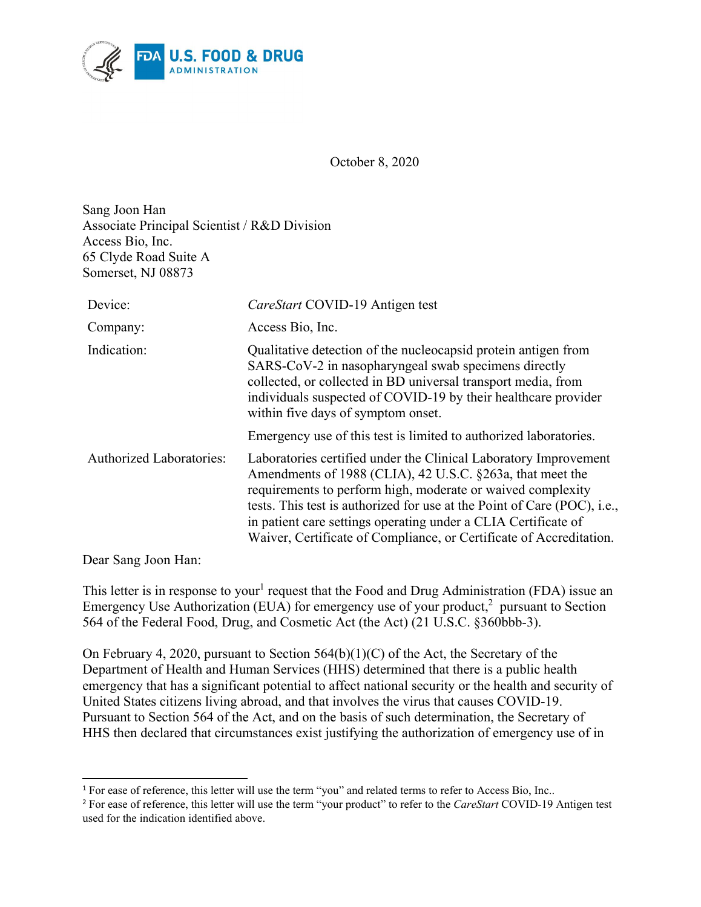

October 8, 2020

Sang Joon Han Associate Principal Scientist / R&D Division Access Bio, Inc. 65 Clyde Road Suite A Somerset, NJ 08873

| Device:                         | CareStart COVID-19 Antigen test                                                                                                                                                                                                                                                                                                                                                                                   |
|---------------------------------|-------------------------------------------------------------------------------------------------------------------------------------------------------------------------------------------------------------------------------------------------------------------------------------------------------------------------------------------------------------------------------------------------------------------|
| Company:                        | Access Bio, Inc.                                                                                                                                                                                                                                                                                                                                                                                                  |
| Indication:                     | Qualitative detection of the nucleocapsid protein antigen from<br>SARS-CoV-2 in nasopharyngeal swab specimens directly<br>collected, or collected in BD universal transport media, from<br>individuals suspected of COVID-19 by their healthcare provider<br>within five days of symptom onset.                                                                                                                   |
|                                 | Emergency use of this test is limited to authorized laboratories.                                                                                                                                                                                                                                                                                                                                                 |
| <b>Authorized Laboratories:</b> | Laboratories certified under the Clinical Laboratory Improvement<br>Amendments of 1988 (CLIA), 42 U.S.C. §263a, that meet the<br>requirements to perform high, moderate or waived complexity<br>tests. This test is authorized for use at the Point of Care (POC), i.e.,<br>in patient care settings operating under a CLIA Certificate of<br>Waiver, Certificate of Compliance, or Certificate of Accreditation. |

Dear Sang Joon Han:

This letter is in response to your<sup>[1](#page-0-0)</sup> request that the Food and Drug Administration (FDA) issue an Emergency Use Authorization (EUA) for emergency use of your product, $^2$  $^2$  pursuant to Section 564 of the Federal Food, Drug, and Cosmetic Act (the Act) (21 U.S.C. §360bbb-3).

On February 4, 2020, pursuant to Section  $564(b)(1)(C)$  of the Act, the Secretary of the Department of Health and Human Services (HHS) determined that there is a public health emergency that has a significant potential to affect national security or the health and security of United States citizens living abroad, and that involves the virus that causes COVID-19. Pursuant to Section 564 of the Act, and on the basis of such determination, the Secretary of HHS then declared that circumstances exist justifying the authorization of emergency use of in

<span id="page-0-0"></span> $\overline{a}$ <sup>1</sup> For ease of reference, this letter will use the term "you" and related terms to refer to Access Bio, Inc..

<span id="page-0-1"></span><sup>2</sup> For ease of reference, this letter will use the term "your product" to refer to the *CareStart* COVID-19 Antigen test used for the indication identified above.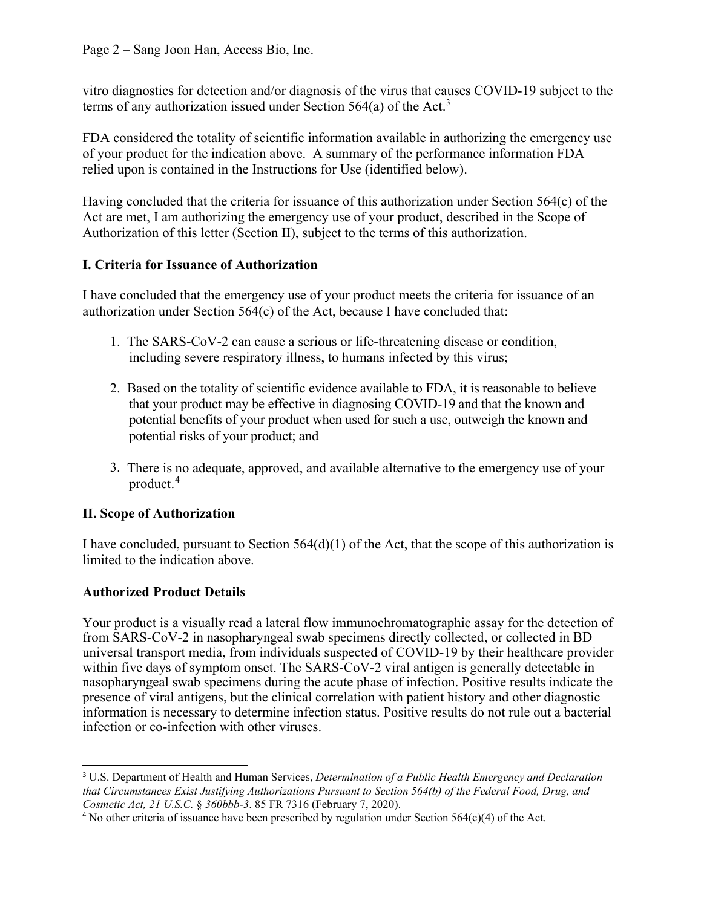vitro diagnostics for detection and/or diagnosis of the virus that causes COVID-19 subject to the terms of any authorization issued under Section 564(a) of the Act.<sup>[3](#page-1-0)</sup>

FDA considered the totality of scientific information available in authorizing the emergency use of your product for the indication above. A summary of the performance information FDA relied upon is contained in the Instructions for Use (identified below).

Having concluded that the criteria for issuance of this authorization under Section 564(c) of the Act are met, I am authorizing the emergency use of your product, described in the Scope of Authorization of this letter (Section II), subject to the terms of this authorization.

# **I. Criteria for Issuance of Authorization**

I have concluded that the emergency use of your product meets the criteria for issuance of an authorization under Section 564(c) of the Act, because I have concluded that:

- 1. The SARS-CoV-2 can cause a serious or life-threatening disease or condition, including severe respiratory illness, to humans infected by this virus;
- 2. Based on the totality of scientific evidence available to FDA, it is reasonable to believe that your product may be effective in diagnosing COVID-19 and that the known and potential benefits of your product when used for such a use, outweigh the known and potential risks of your product; and
- 3. There is no adequate, approved, and available alternative to the emergency use of your product. [4](#page-1-1)

# **II. Scope of Authorization**

I have concluded, pursuant to Section  $564(d)(1)$  of the Act, that the scope of this authorization is limited to the indication above.

# **Authorized Product Details**

Your product is a visually read a lateral flow immunochromatographic assay for the detection of from SARS-CoV-2 in nasopharyngeal swab specimens directly collected, or collected in BD universal transport media, from individuals suspected of COVID-19 by their healthcare provider within five days of symptom onset. The SARS-CoV-2 viral antigen is generally detectable in nasopharyngeal swab specimens during the acute phase of infection. Positive results indicate the presence of viral antigens, but the clinical correlation with patient history and other diagnostic information is necessary to determine infection status. Positive results do not rule out a bacterial infection or co-infection with other viruses.

<span id="page-1-0"></span> $\overline{a}$ <sup>3</sup> U.S. Department of Health and Human Services, *Determination of a Public Health Emergency and Declaration that Circumstances Exist Justifying Authorizations Pursuant to Section 564(b) of the Federal Food, Drug, and Cosmetic Act, 21 U.S.C.* § *360bbb-3*. 85 FR 7316 (February 7, 2020).

<span id="page-1-1"></span><sup>4</sup> No other criteria of issuance have been prescribed by regulation under Section 564(c)(4) of the Act.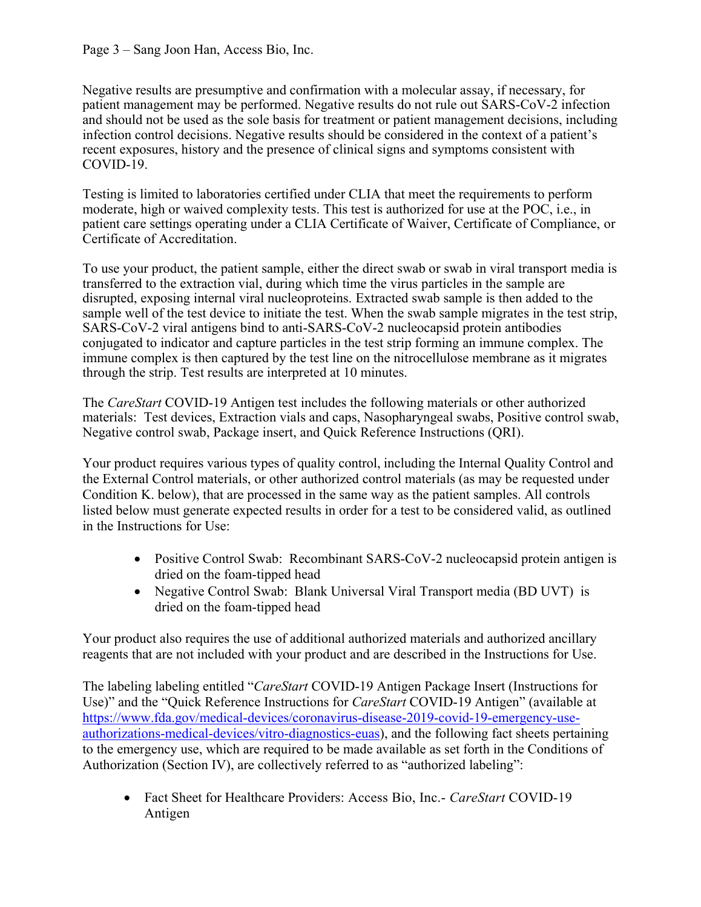Negative results are presumptive and confirmation with a molecular assay, if necessary, for patient management may be performed. Negative results do not rule out SARS-CoV-2 infection and should not be used as the sole basis for treatment or patient management decisions, including infection control decisions. Negative results should be considered in the context of a patient's recent exposures, history and the presence of clinical signs and symptoms consistent with COVID-19.

Testing is limited to laboratories certified under CLIA that meet the requirements to perform moderate, high or waived complexity tests. This test is authorized for use at the POC, i.e., in patient care settings operating under a CLIA Certificate of Waiver, Certificate of Compliance, or Certificate of Accreditation.

To use your product, the patient sample, either the direct swab or swab in viral transport media is transferred to the extraction vial, during which time the virus particles in the sample are disrupted, exposing internal viral nucleoproteins. Extracted swab sample is then added to the sample well of the test device to initiate the test. When the swab sample migrates in the test strip, SARS-CoV-2 viral antigens bind to anti-SARS-CoV-2 nucleocapsid protein antibodies conjugated to indicator and capture particles in the test strip forming an immune complex. The immune complex is then captured by the test line on the nitrocellulose membrane as it migrates through the strip. Test results are interpreted at 10 minutes.

The *CareStart* COVID-19 Antigen test includes the following materials or other authorized materials: Test devices, Extraction vials and caps, Nasopharyngeal swabs, Positive control swab, Negative control swab, Package insert, and Quick Reference Instructions (QRI).

Your product requires various types of quality control, including the Internal Quality Control and the External Control materials, or other authorized control materials (as may be requested under Condition K. below), that are processed in the same way as the patient samples. All controls listed below must generate expected results in order for a test to be considered valid, as outlined in the Instructions for Use:

- Positive Control Swab: Recombinant SARS-CoV-2 nucleocapsid protein antigen is dried on the foam-tipped head
- Negative Control Swab: Blank Universal Viral Transport media (BD UVT) is dried on the foam-tipped head

Your product also requires the use of additional authorized materials and authorized ancillary reagents that are not included with your product and are described in the Instructions for Use.

The labeling labeling entitled "*CareStart* COVID-19 Antigen Package Insert (Instructions for Use)" and the "Quick Reference Instructions for *CareStart* COVID-19 Antigen" (available at [https://www.fda.gov/medical-devices/coronavirus-disease-2019-covid-19-emergency-use](https://www.fda.gov/medical-devices/coronavirus-disease-2019-covid-19-emergency-use-authorizations-medical-devices/vitro-diagnostics-euas)[authorizations-medical-devices/vitro-diagnostics-euas](https://www.fda.gov/medical-devices/coronavirus-disease-2019-covid-19-emergency-use-authorizations-medical-devices/vitro-diagnostics-euas)), and the following fact sheets pertaining to the emergency use, which are required to be made available as set forth in the Conditions of Authorization (Section IV), are collectively referred to as "authorized labeling":

· Fact Sheet for Healthcare Providers: Access Bio, Inc.- *CareStart* COVID-19 Antigen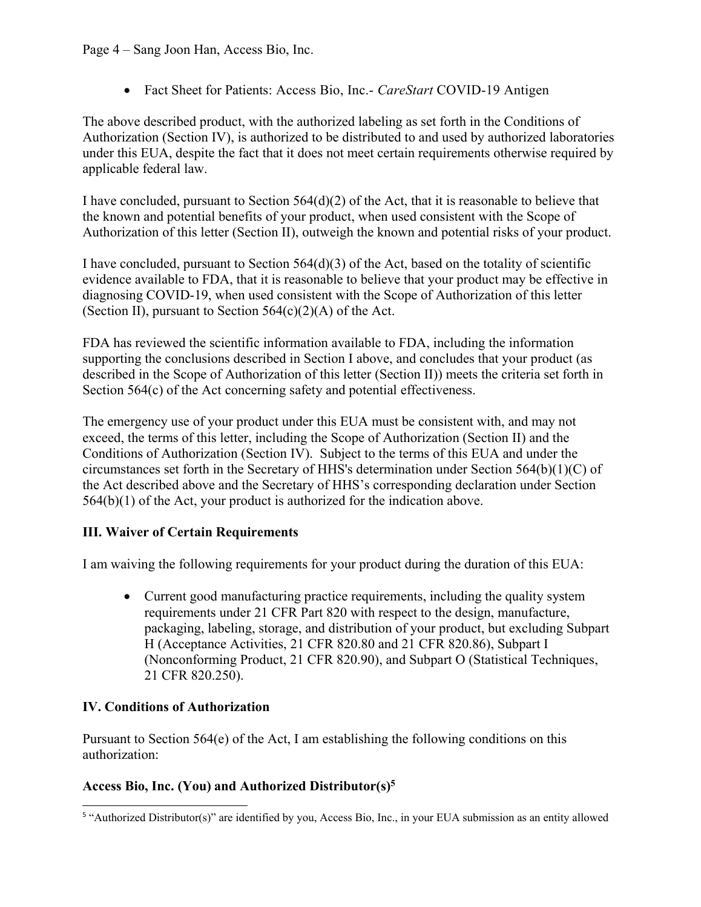Page 4 – Sang Joon Han, Access Bio, Inc.

· Fact Sheet for Patients: Access Bio, Inc.- *CareStart* COVID-19 Antigen

The above described product, with the authorized labeling as set forth in the Conditions of Authorization (Section IV), is authorized to be distributed to and used by authorized laboratories under this EUA, despite the fact that it does not meet certain requirements otherwise required by applicable federal law.

I have concluded, pursuant to Section 564(d)(2) of the Act, that it is reasonable to believe that the known and potential benefits of your product, when used consistent with the Scope of Authorization of this letter (Section II), outweigh the known and potential risks of your product.

I have concluded, pursuant to Section 564(d)(3) of the Act, based on the totality of scientific evidence available to FDA, that it is reasonable to believe that your product may be effective in diagnosing COVID-19, when used consistent with the Scope of Authorization of this letter (Section II), pursuant to Section  $564(c)(2)(A)$  of the Act.

FDA has reviewed the scientific information available to FDA, including the information supporting the conclusions described in Section I above, and concludes that your product (as described in the Scope of Authorization of this letter (Section II)) meets the criteria set forth in Section 564(c) of the Act concerning safety and potential effectiveness.

The emergency use of your product under this EUA must be consistent with, and may not exceed, the terms of this letter, including the Scope of Authorization (Section II) and the Conditions of Authorization (Section IV). Subject to the terms of this EUA and under the circumstances set forth in the Secretary of HHS's determination under Section 564(b)(1)(C) of the Act described above and the Secretary of HHS's corresponding declaration under Section 564(b)(1) of the Act, your product is authorized for the indication above.

# **III. Waiver of Certain Requirements**

I am waiving the following requirements for your product during the duration of this EUA:

• Current good manufacturing practice requirements, including the quality system requirements under 21 CFR Part 820 with respect to the design, manufacture, packaging, labeling, storage, and distribution of your product, but excluding Subpart H (Acceptance Activities, 21 CFR 820.80 and 21 CFR 820.86), Subpart I (Nonconforming Product, 21 CFR 820.90), and Subpart O (Statistical Techniques, 21 CFR 820.250).

## **IV. Conditions of Authorization**

Pursuant to Section 564(e) of the Act, I am establishing the following conditions on this authorization:

## **Access Bio, Inc. (You) and Authorized Distributor(s)[5](#page-3-0)**

<span id="page-3-0"></span> $\overline{a}$ <sup>5</sup> "Authorized Distributor(s)" are identified by you, Access Bio, Inc., in your EUA submission as an entity allowed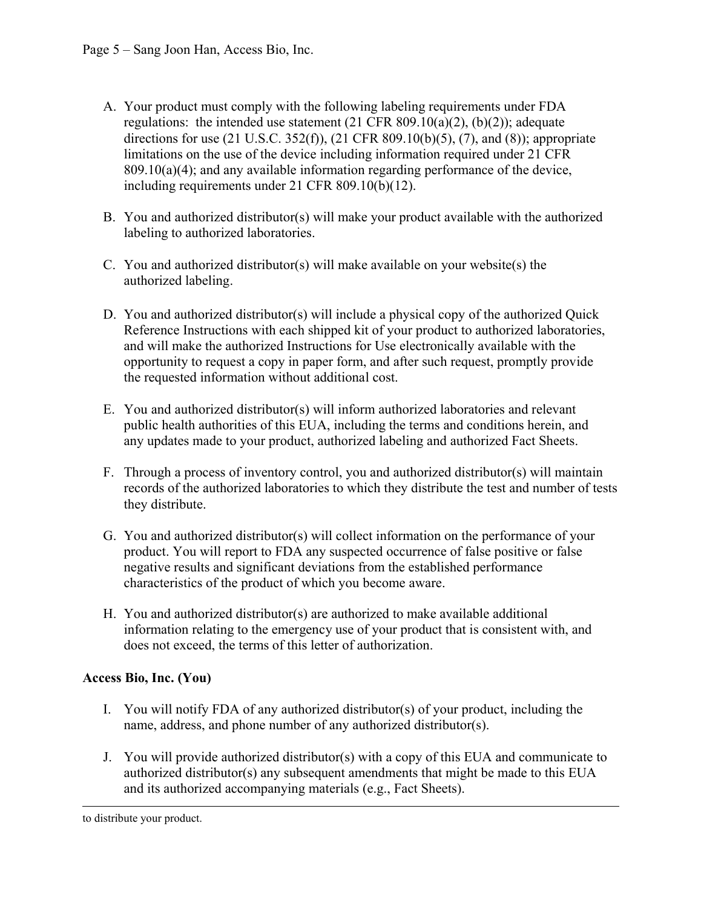- A. Your product must comply with the following labeling requirements under FDA regulations: the intended use statement  $(21 \text{ CFR } 809.10(a)(2), (b)(2))$ ; adequate directions for use (21 U.S.C. 352(f)), (21 CFR 809.10(b)(5), (7), and (8)); appropriate limitations on the use of the device including information required under 21 CFR 809.10(a)(4); and any available information regarding performance of the device, including requirements under 21 CFR 809.10(b)(12).
- B. You and authorized distributor(s) will make your product available with the authorized labeling to authorized laboratories.
- C. You and authorized distributor(s) will make available on your website(s) the authorized labeling.
- D. You and authorized distributor(s) will include a physical copy of the authorized Quick Reference Instructions with each shipped kit of your product to authorized laboratories, and will make the authorized Instructions for Use electronically available with the opportunity to request a copy in paper form, and after such request, promptly provide the requested information without additional cost.
- E. You and authorized distributor(s) will inform authorized laboratories and relevant public health authorities of this EUA, including the terms and conditions herein, and any updates made to your product, authorized labeling and authorized Fact Sheets.
- F. Through a process of inventory control, you and authorized distributor(s) will maintain records of the authorized laboratories to which they distribute the test and number of tests they distribute.
- G. You and authorized distributor(s) will collect information on the performance of your product. You will report to FDA any suspected occurrence of false positive or false negative results and significant deviations from the established performance characteristics of the product of which you become aware.
- H. You and authorized distributor(s) are authorized to make available additional information relating to the emergency use of your product that is consistent with, and does not exceed, the terms of this letter of authorization.

## **Access Bio, Inc. (You)**

- I. You will notify FDA of any authorized distributor(s) of your product, including the name, address, and phone number of any authorized distributor(s).
- J. You will provide authorized distributor(s) with a copy of this EUA and communicate to authorized distributor(s) any subsequent amendments that might be made to this EUA and its authorized accompanying materials (e.g., Fact Sheets).

 $\overline{a}$ to distribute your product.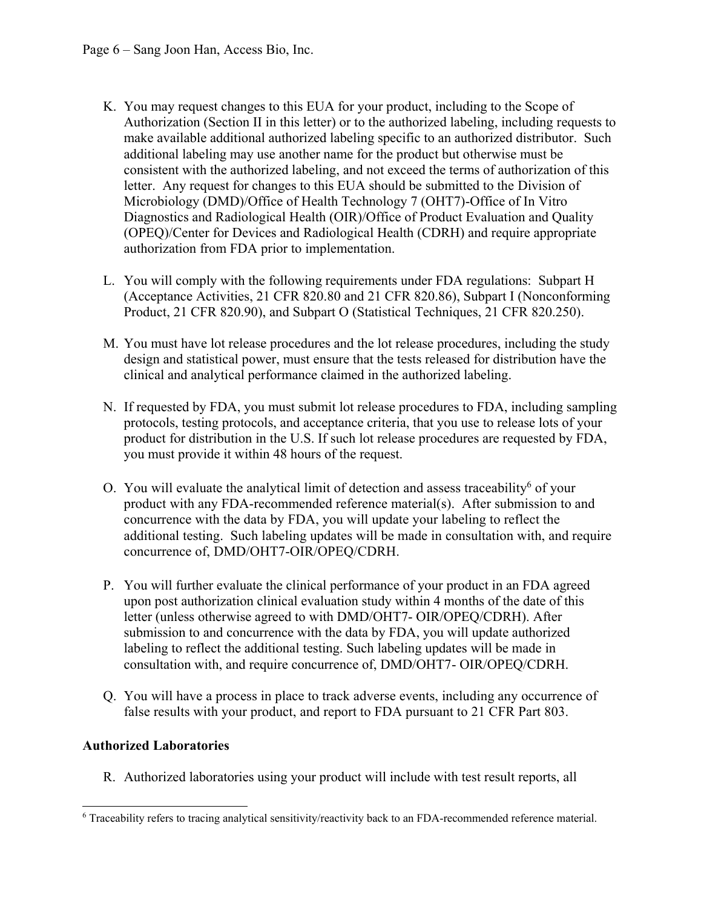- K. You may request changes to this EUA for your product, including to the Scope of Authorization (Section II in this letter) or to the authorized labeling, including requests to make available additional authorized labeling specific to an authorized distributor. Such additional labeling may use another name for the product but otherwise must be consistent with the authorized labeling, and not exceed the terms of authorization of this letter. Any request for changes to this EUA should be submitted to the Division of Microbiology (DMD)/Office of Health Technology 7 (OHT7)-Office of In Vitro Diagnostics and Radiological Health (OIR)/Office of Product Evaluation and Quality (OPEQ)/Center for Devices and Radiological Health (CDRH) and require appropriate authorization from FDA prior to implementation.
- L. You will comply with the following requirements under FDA regulations: Subpart H (Acceptance Activities, 21 CFR 820.80 and 21 CFR 820.86), Subpart I (Nonconforming Product, 21 CFR 820.90), and Subpart O (Statistical Techniques, 21 CFR 820.250).
- M. You must have lot release procedures and the lot release procedures, including the study design and statistical power, must ensure that the tests released for distribution have the clinical and analytical performance claimed in the authorized labeling.
- N. If requested by FDA, you must submit lot release procedures to FDA, including sampling protocols, testing protocols, and acceptance criteria, that you use to release lots of your product for distribution in the U.S. If such lot release procedures are requested by FDA, you must provide it within 48 hours of the request.
- O. You will evaluate the analytical limit of detection and assess traceability<sup>[6](#page-5-0)</sup> of your product with any FDA-recommended reference material(s). After submission to and concurrence with the data by FDA, you will update your labeling to reflect the additional testing. Such labeling updates will be made in consultation with, and require concurrence of, DMD/OHT7-OIR/OPEQ/CDRH.
- P. You will further evaluate the clinical performance of your product in an FDA agreed upon post authorization clinical evaluation study within 4 months of the date of this letter (unless otherwise agreed to with DMD/OHT7- OIR/OPEQ/CDRH). After submission to and concurrence with the data by FDA, you will update authorized labeling to reflect the additional testing. Such labeling updates will be made in consultation with, and require concurrence of, DMD/OHT7- OIR/OPEQ/CDRH.
- Q. You will have a process in place to track adverse events, including any occurrence of false results with your product, and report to FDA pursuant to 21 CFR Part 803.

## **Authorized Laboratories**

R. Authorized laboratories using your product will include with test result reports, all

<span id="page-5-0"></span> $\overline{a}$ <sup>6</sup> Traceability refers to tracing analytical sensitivity/reactivity back to an FDA-recommended reference material.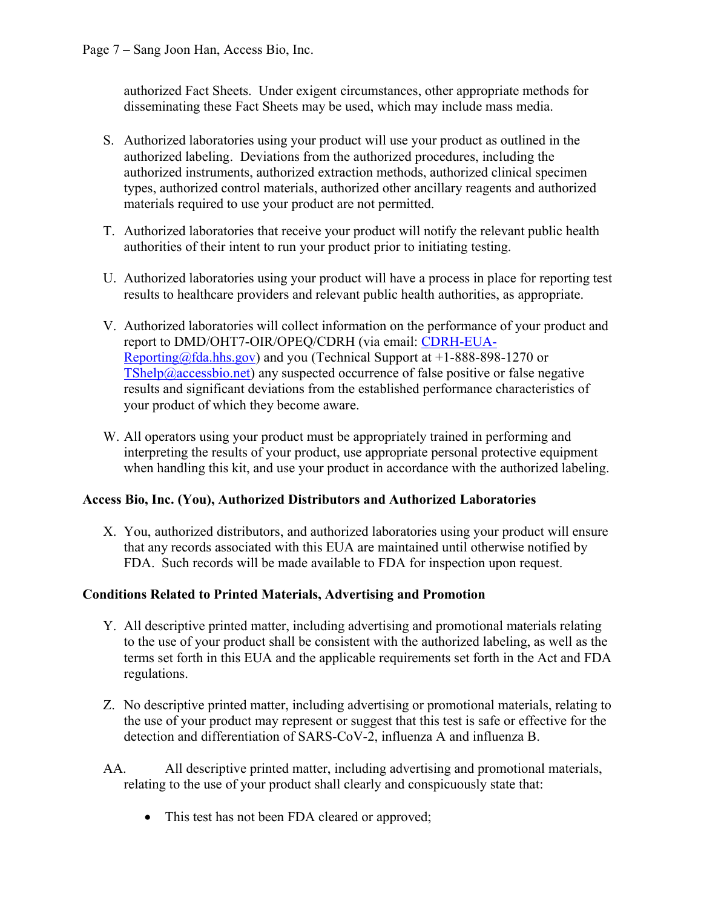authorized Fact Sheets. Under exigent circumstances, other appropriate methods for disseminating these Fact Sheets may be used, which may include mass media.

- S. Authorized laboratories using your product will use your product as outlined in the authorized labeling. Deviations from the authorized procedures, including the authorized instruments, authorized extraction methods, authorized clinical specimen types, authorized control materials, authorized other ancillary reagents and authorized materials required to use your product are not permitted.
- T. Authorized laboratories that receive your product will notify the relevant public health authorities of their intent to run your product prior to initiating testing.
- U. Authorized laboratories using your product will have a process in place for reporting test results to healthcare providers and relevant public health authorities, as appropriate.
- V. Authorized laboratories will collect information on the performance of your product and report to DMD/OHT7-OIR/OPEQ/CDRH (via email: [CDRH-EUA-](mailto:CDRH-EUA-Reporting@fda.hhs.gov)[Reporting@fda.hhs.gov](mailto:CDRH-EUA-Reporting@fda.hhs.gov)) and you (Technical Support at  $+1-888-898-1270$  or  $TShelp@accessbio.net)$  $TShelp@accessbio.net)$  any suspected occurrence of false positive or false negative results and significant deviations from the established performance characteristics of your product of which they become aware.
- W. All operators using your product must be appropriately trained in performing and interpreting the results of your product, use appropriate personal protective equipment when handling this kit, and use your product in accordance with the authorized labeling.

### **Access Bio, Inc. (You), Authorized Distributors and Authorized Laboratories**

X. You, authorized distributors, and authorized laboratories using your product will ensure that any records associated with this EUA are maintained until otherwise notified by FDA. Such records will be made available to FDA for inspection upon request.

### **Conditions Related to Printed Materials, Advertising and Promotion**

- Y. All descriptive printed matter, including advertising and promotional materials relating to the use of your product shall be consistent with the authorized labeling, as well as the terms set forth in this EUA and the applicable requirements set forth in the Act and FDA regulations.
- Z. No descriptive printed matter, including advertising or promotional materials, relating to the use of your product may represent or suggest that this test is safe or effective for the detection and differentiation of SARS-CoV-2, influenza A and influenza B.
- AA. All descriptive printed matter, including advertising and promotional materials, relating to the use of your product shall clearly and conspicuously state that:
	- This test has not been FDA cleared or approved;